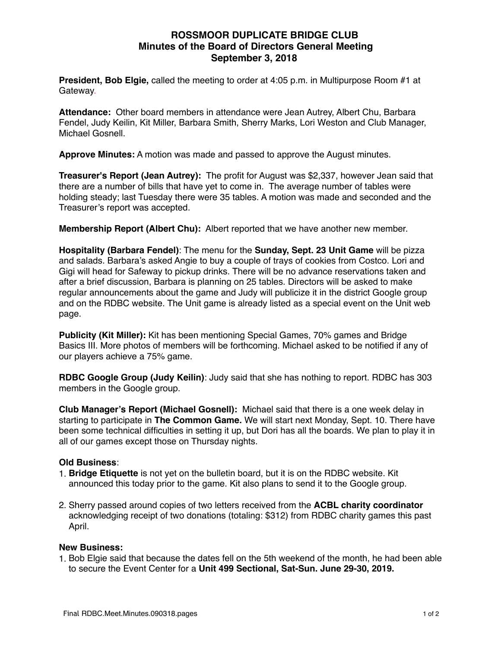## **ROSSMOOR DUPLICATE BRIDGE CLUB Minutes of the Board of Directors General Meeting September 3, 2018**

**President, Bob Elgie,** called the meeting to order at 4:05 p.m. in Multipurpose Room #1 at Gateway.

**Attendance:** Other board members in attendance were Jean Autrey, Albert Chu, Barbara Fendel, Judy Keilin, Kit Miller, Barbara Smith, Sherry Marks, Lori Weston and Club Manager, Michael Gosnell.

**Approve Minutes:** A motion was made and passed to approve the August minutes.

**Treasurer's Report (Jean Autrey):** The profit for August was \$2,337, however Jean said that there are a number of bills that have yet to come in. The average number of tables were holding steady; last Tuesday there were 35 tables. A motion was made and seconded and the Treasurer's report was accepted.

**Membership Report (Albert Chu):** Albert reported that we have another new member.

**Hospitality (Barbara Fendel)**: The menu for the **Sunday, Sept. 23 Unit Game** will be pizza and salads. Barbara's asked Angie to buy a couple of trays of cookies from Costco. Lori and Gigi will head for Safeway to pickup drinks. There will be no advance reservations taken and after a brief discussion, Barbara is planning on 25 tables. Directors will be asked to make regular announcements about the game and Judy will publicize it in the district Google group and on the RDBC website. The Unit game is already listed as a special event on the Unit web page.

**Publicity (Kit Miller):** Kit has been mentioning Special Games, 70% games and Bridge Basics III. More photos of members will be forthcoming. Michael asked to be notified if any of our players achieve a 75% game.

**RDBC Google Group (Judy Keilin)**: Judy said that she has nothing to report. RDBC has 303 members in the Google group.

**Club Manager's Report (Michael Gosnell):** Michael said that there is a one week delay in starting to participate in **The Common Game.** We will start next Monday, Sept. 10. There have been some technical difficulties in setting it up, but Dori has all the boards. We plan to play it in all of our games except those on Thursday nights.

## **Old Business**:

- 1. **Bridge Etiquette** is not yet on the bulletin board, but it is on the RDBC website. Kit announced this today prior to the game. Kit also plans to send it to the Google group.
- 2. Sherry passed around copies of two letters received from the **ACBL charity coordinator** acknowledging receipt of two donations (totaling: \$312) from RDBC charity games this past April.

## **New Business:**

1. Bob Elgie said that because the dates fell on the 5th weekend of the month, he had been able to secure the Event Center for a **Unit 499 Sectional, Sat-Sun. June 29-30, 2019.**